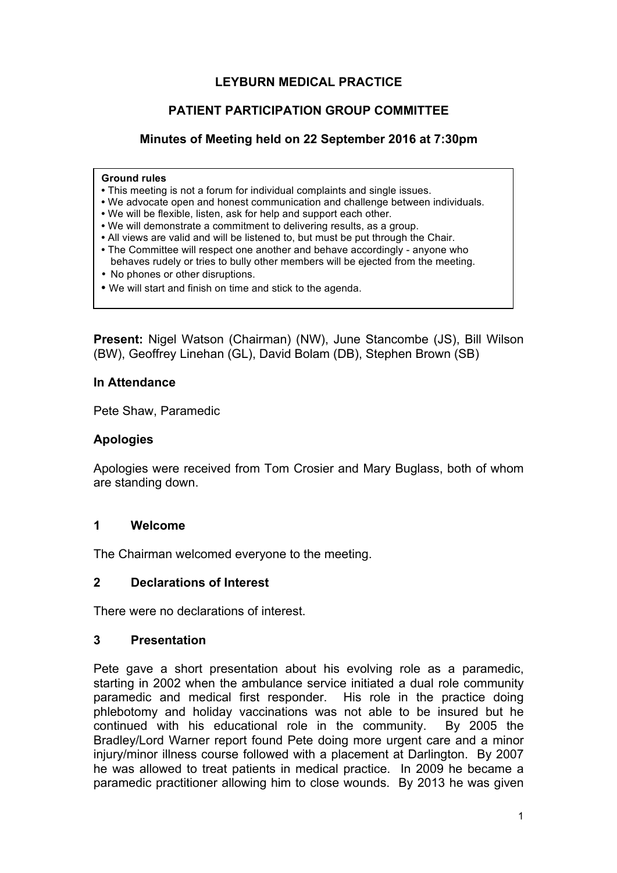#### **LEYBURN MEDICAL PRACTICE**

#### **PATIENT PARTICIPATION GROUP COMMITTEE**

#### **Minutes of Meeting held on 22 September 2016 at 7:30pm**

#### **Ground rules**

- This meeting is not a forum for individual complaints and single issues.
- We advocate open and honest communication and challenge between individuals.
- We will be flexible, listen, ask for help and support each other.
- We will demonstrate a commitment to delivering results, as a group.
- All views are valid and will be listened to, but must be put through the Chair.
- The Committee will respect one another and behave accordingly anyone who behaves rudely or tries to bully other members will be ejected from the meeting.
- No phones or other disruptions.
- We will start and finish on time and stick to the agenda.

**Present:** Nigel Watson (Chairman) (NW), June Stancombe (JS), Bill Wilson (BW), Geoffrey Linehan (GL), David Bolam (DB), Stephen Brown (SB)

#### **In Attendance**

Pete Shaw, Paramedic

#### **Apologies**

Apologies were received from Tom Crosier and Mary Buglass, both of whom are standing down.

#### **1 Welcome**

The Chairman welcomed everyone to the meeting.

#### **2 Declarations of Interest**

There were no declarations of interest.

#### **3 Presentation**

Pete gave a short presentation about his evolving role as a paramedic, starting in 2002 when the ambulance service initiated a dual role community paramedic and medical first responder. His role in the practice doing phlebotomy and holiday vaccinations was not able to be insured but he continued with his educational role in the community. By 2005 the Bradley/Lord Warner report found Pete doing more urgent care and a minor injury/minor illness course followed with a placement at Darlington. By 2007 he was allowed to treat patients in medical practice. In 2009 he became a paramedic practitioner allowing him to close wounds. By 2013 he was given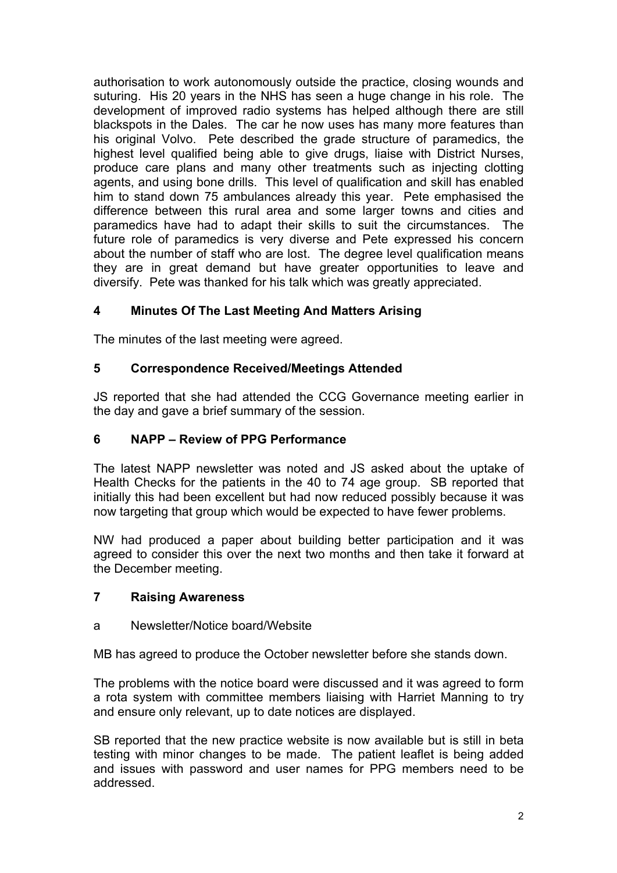authorisation to work autonomously outside the practice, closing wounds and suturing. His 20 years in the NHS has seen a huge change in his role. The development of improved radio systems has helped although there are still blackspots in the Dales. The car he now uses has many more features than his original Volvo. Pete described the grade structure of paramedics, the highest level qualified being able to give drugs, liaise with District Nurses, produce care plans and many other treatments such as injecting clotting agents, and using bone drills. This level of qualification and skill has enabled him to stand down 75 ambulances already this year. Pete emphasised the difference between this rural area and some larger towns and cities and paramedics have had to adapt their skills to suit the circumstances. The future role of paramedics is very diverse and Pete expressed his concern about the number of staff who are lost. The degree level qualification means they are in great demand but have greater opportunities to leave and diversify. Pete was thanked for his talk which was greatly appreciated.

# **4 Minutes Of The Last Meeting And Matters Arising**

The minutes of the last meeting were agreed.

## **5 Correspondence Received/Meetings Attended**

JS reported that she had attended the CCG Governance meeting earlier in the day and gave a brief summary of the session.

## **6 NAPP – Review of PPG Performance**

The latest NAPP newsletter was noted and JS asked about the uptake of Health Checks for the patients in the 40 to 74 age group. SB reported that initially this had been excellent but had now reduced possibly because it was now targeting that group which would be expected to have fewer problems.

NW had produced a paper about building better participation and it was agreed to consider this over the next two months and then take it forward at the December meeting.

## **7 Raising Awareness**

#### a Newsletter/Notice board/Website

MB has agreed to produce the October newsletter before she stands down.

The problems with the notice board were discussed and it was agreed to form a rota system with committee members liaising with Harriet Manning to try and ensure only relevant, up to date notices are displayed.

SB reported that the new practice website is now available but is still in beta testing with minor changes to be made. The patient leaflet is being added and issues with password and user names for PPG members need to be addressed.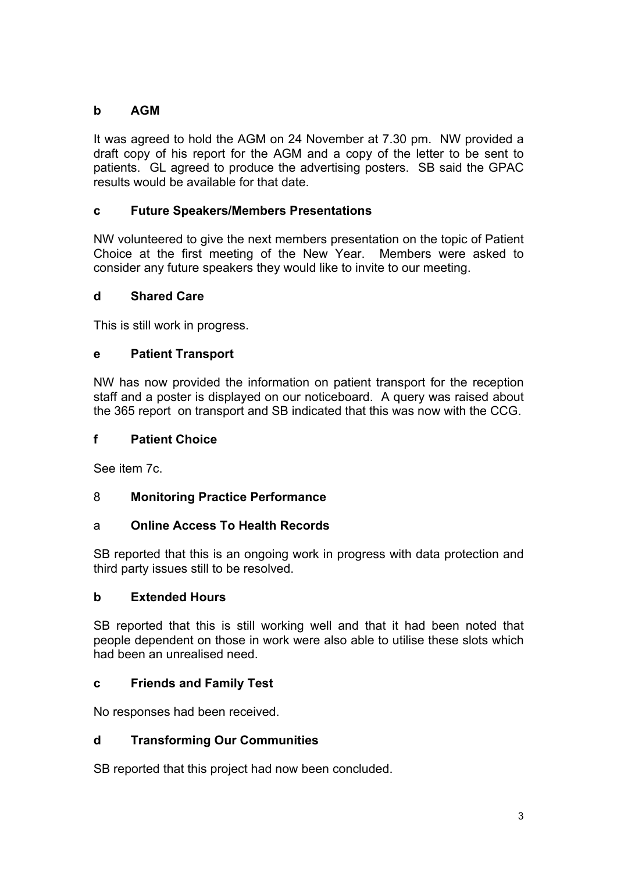# **b AGM**

It was agreed to hold the AGM on 24 November at 7.30 pm. NW provided a draft copy of his report for the AGM and a copy of the letter to be sent to patients. GL agreed to produce the advertising posters. SB said the GPAC results would be available for that date.

# **c Future Speakers/Members Presentations**

NW volunteered to give the next members presentation on the topic of Patient Choice at the first meeting of the New Year. Members were asked to consider any future speakers they would like to invite to our meeting.

# **d Shared Care**

This is still work in progress.

# **e Patient Transport**

NW has now provided the information on patient transport for the reception staff and a poster is displayed on our noticeboard. A query was raised about the 365 report on transport and SB indicated that this was now with the CCG.

## **f Patient Choice**

See item 7c.

# 8 **Monitoring Practice Performance**

## a **Online Access To Health Records**

SB reported that this is an ongoing work in progress with data protection and third party issues still to be resolved.

## **b Extended Hours**

SB reported that this is still working well and that it had been noted that people dependent on those in work were also able to utilise these slots which had been an unrealised need.

## **c Friends and Family Test**

No responses had been received.

## **d Transforming Our Communities**

SB reported that this project had now been concluded.